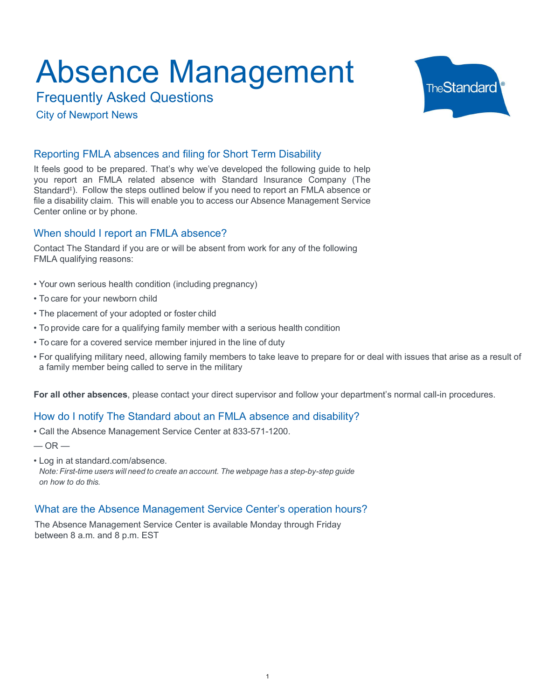Frequently Asked Questions

City of Newport News



#### Reporting FMLA absences and filing for Short Term Disability

**Absence Management**<br>Frequently Asked Questions<br>City of Newport News<br>City of Newport News<br>Reporting FMLA absences and filing for Short Term Disability<br>It feels good to be prepared. That's why we've developed the following It feels good to be prepared. That's why we've developed the following guide to help you report an FMLA related absence with Standard Insurance Company (The Standard‡ ). Follow the steps outlined below if you need to report an FMLA absence or file a disability claim. This will enable you to access our Absence Management Service Center online or by phone. **ADSENCE IVIAN ACCE IVIAN ASKET CONDUCT CONDUCT CONDUCT CONDUCT CONDUCT CONDUCT CONDUCT CONDUCT THE REPORT OF SUPPRESS CONDUCT AND A SERVED CONDUCT AND SUPPRESS CONDUCT AND SUPPRESS CONDUCT AND SUPPRESS CONDUCT AND SUPPRES** Frequently Asked Questions<br>
Frequently Asked Questions<br>
City of Newport News<br>
It feels good to be prepared. That's why we very developed the following guide to help<br>
the these good to be prepared. That's why we very develo FiteDuring PSNEU QUESTION<br>• City of Newport News<br>• Reporting FMLA absences and filing for Short Term Disability<br>the tels good to be prepared. That's why we've developed the following quide to help<br>by our report an FMLA rel City of Newport News<br>
Freporting FMLA absences and filing for Short Term Disability<br>
It feels good to be prepared. That's why we've developed the following guide to help<br>
the teles good to be prepared. That's will enable o Reporting FMLA absences and filing for Short Term Disability<br>The theis good to be prepared. That's why we've developed the following guide to help<br>you report an FMLA related absence with Standard Insurance Company (The<br>Bia

#### When should I report an FMLA absence?

Contact The Standard if you are or will be absent from work for any of the following FMLA qualifying reasons:

- 
- 
- 
- 
- 
- a family member being called to serve in the military ille alsability Gallam. This will enable you to access our Absence Management Service<br>Center online or by phone.<br>When should I report an FMLA absence?<br>Contact The Standard if you are or will be absent from work for any of When should I report an FMLA absence?<br>
Contact The Standard if you are or will be absent from work for any of the fc<br>
FMLA qualifying reasons:<br>
• Your own serious health condition (including pregnancy)<br>
• To care for your

For all other absences, please contact your direct supervisor and follow your department's normal call-in procedures.

#### How do I notify The Standard about an FMLA absence and disability?

 $-$  OR  $-$ 

Note: First-time users will need to create an account. The webpage has a step-by-step guide on how to do this.

#### What are the Absence Management Service Center's operation hours?

The Absence Management Service Center is available Monday through Friday between 8 a.m. and 8 p.m. EST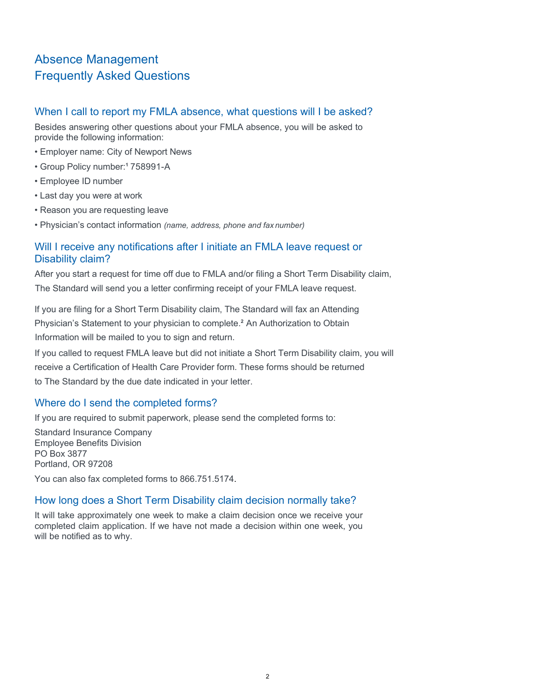### Absence Management Frequently Asked Questions

#### When I call to report my FMLA absence, what questions will I be asked?

Besides answering other questions about your FMLA absence, you will be asked to provide the following information: Absence Management<br>
Frequently Asked Questions<br>
When I call to report my FMLA absence, what questions will I be<br>
Besides answering other questions about your FMLA absence, you will be a<br>
provide the following information:<br> Absence Management<br>
Frequently Asked Questions<br>
When I call to report my FMLA absence, what questions will I b<br>
Besides answering other questions about your FMLA absence, you will be<br>
provide the following information:<br>
• Absence Management<br>
Frequently Asked Questions<br>
When I call to report my FMLA absence, what questions will I b<br>
Besides answering other questions about your FMLA absence, you will be<br>
provide the following information:<br>
• Absence Management<br>
Frequently Asked Questions<br>
When I call to report my FMLA absence, what questions will I b<br>
Besides answering other questions about your FMLA absence, you will be<br>
provide the following information:<br>
•

- 
- Group Policy number:<sup>1</sup> 758991-A
- 
- 
- 
- 

# Absence Management<br>
Frequently Asked Questions<br>
When I call to report my FMLA absence, what questions will I b<br>
Besides answering other questions about your FMLA absence, you will be<br>
provide the following information:<br>
• Absence Management<br>
Frequently Asked Questions<br>
When I call to report my FMLA absence, what questions will I be asked?<br>
Besides answering other questions about your FMLA absence, you will be asked to<br>
rovide the following Will I receive any notifications after I initiate an FMLA leave request or Disability claim?

After you start a request for time off due to FMLA and/or filing a Short Term Disability claim, The Standard will send you a letter confirming receipt of your FMLA leave request.

If you are filing for a Short Term Disability claim, The Standard will fax an Attending Physician's Statement to your physician to complete.<sup>2</sup> An Authorization to Obtain Information will be mailed to you to sign and return.

If you called to request FMLA leave but did not initiate a Short Term Disability claim, you will receive a Certification of Health Care Provider form. These forms should be returned to The Standard by the due date indicated in your letter.

#### Where do I send the completed forms?

If you are required to submit paperwork, please send the completed forms to:

Standard Insurance Company Employee Benefits Division PO Box 3877 Portland, OR 97208

## You can also fax completed forms to 866.751.5174. How long does a Short Term Disability claim decision normally take?

It will take approximately one week to make a claim decision once we receive your completed claim application. If we have not made a decision within one week, you will be notified as to why.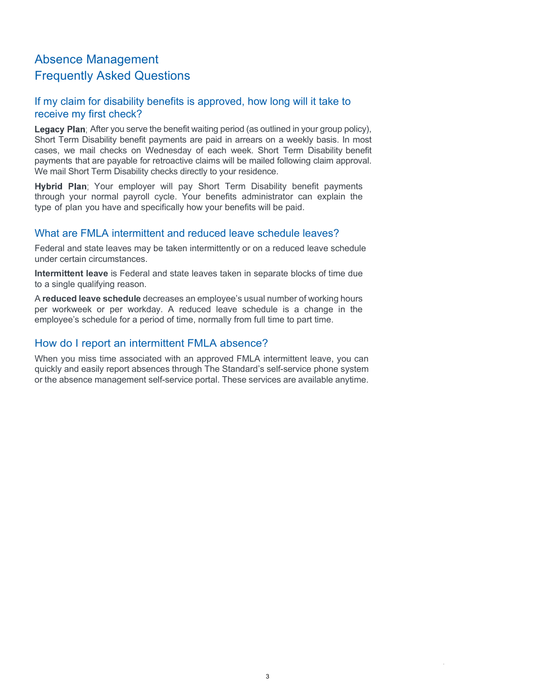#### Absence Management Frequently Asked Questions

#### If my claim for disability benefits is approved, how long will it take to receive my first check?

Legacy Plan; After you serve the benefit waiting period (as outlined in your group policy), Short Term Disability benefit payments are paid in arrears on a weekly basis. In most cases, we mail checks on Wednesday of each week. Short Term Disability benefit payments that are payable for retroactive claims will be mailed following claim approval. We mail Short Term Disability checks directly to your residence.

Hybrid Plan; Your employer will pay Short Term Disability benefit payments through your normal payroll cycle. Your benefits administrator can explain the type of plan you have and specifically how your benefits will be paid.

#### What are FMLA intermittent and reduced leave schedule leaves?

Federal and state leaves may be taken intermittently or on a reduced leave schedule under certain circumstances.

Intermittent leave is Federal and state leaves taken in separate blocks of time due to a single qualifying reason.

A reduced leave schedule decreases an employee's usual number of working hours per workweek or per workday. A reduced leave schedule is a change in the employee's schedule for a period of time, normally from full time to part time.

#### How do I report an intermittent FMLA absence?

When you miss time associated with an approved FMLA intermittent leave, you can quickly and easily report absences through The Standard's self-service phone system or the absence management self-service portal. These services are available anytime.